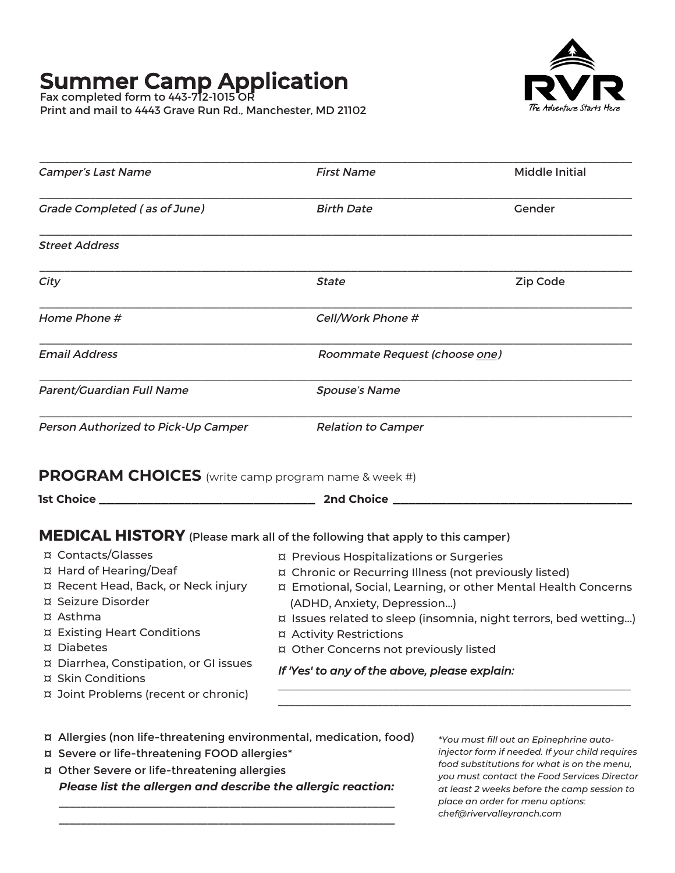# **Summer Camp Application**

Fax completed form to 443-712-1015 OR Print and mail to 4443 Grave Run Rd., Manchester, MD 21102



| Camper's Last Name                                                                                                                                                                                                                                 | <b>First Name</b>                                                                                                                                                                                      | <b>Middle Initial</b>                                                                                                              |
|----------------------------------------------------------------------------------------------------------------------------------------------------------------------------------------------------------------------------------------------------|--------------------------------------------------------------------------------------------------------------------------------------------------------------------------------------------------------|------------------------------------------------------------------------------------------------------------------------------------|
| <b>Grade Completed (as of June)</b>                                                                                                                                                                                                                | <b>Birth Date</b>                                                                                                                                                                                      | Gender                                                                                                                             |
| <b>Street Address</b>                                                                                                                                                                                                                              |                                                                                                                                                                                                        |                                                                                                                                    |
| City                                                                                                                                                                                                                                               | <b>State</b>                                                                                                                                                                                           | Zip Code                                                                                                                           |
| Home Phone #                                                                                                                                                                                                                                       | Cell/Work Phone #                                                                                                                                                                                      |                                                                                                                                    |
| Email Address                                                                                                                                                                                                                                      | Roommate Request (choose one)                                                                                                                                                                          |                                                                                                                                    |
| Parent/Guardian Full Name                                                                                                                                                                                                                          | <b>Spouse's Name</b>                                                                                                                                                                                   |                                                                                                                                    |
| Person Authorized to Pick-Up Camper                                                                                                                                                                                                                | <b>Relation to Camper</b>                                                                                                                                                                              |                                                                                                                                    |
| PROGRAM CHOICES (write camp program name & week #)                                                                                                                                                                                                 |                                                                                                                                                                                                        |                                                                                                                                    |
| <u> 1989 - Johann Barbara, martxa alemani</u> ar arte<br><b>1st Choice ___</b>                                                                                                                                                                     | 2nd Choice ___                                                                                                                                                                                         |                                                                                                                                    |
| MEDICAL HISTORY (Please mark all of the following that apply to this camper)<br>¤ Contacts/Glasses<br>¤ Hard of Hearing/Deaf<br>¤ Recent Head, Back, or Neck injury<br>¤ Seizure Disorder<br>¤ Asthma<br>¤ Existing Heart Conditions<br>¤ Diabetes | ¤ Previous Hospitalizations or Surgeries<br>¤ Chronic or Recurring Illness (not previously listed)<br>(ADHD, Anxiety, Depression)<br>¤ Activity Restrictions<br>¤ Other Concerns not previously listed | ¤ Emotional, Social, Learning, or other Mental Health Concerns<br>¤ Issues related to sleep (insomnia, night terrors, bed wetting) |
| ¤ Diarrhea, Constipation, or GI issues                                                                                                                                                                                                             | If 'Yes' to any of the above, please explain:                                                                                                                                                          |                                                                                                                                    |

- ¤ Allergies (non life-threatening environmental, medication, food)
- ¤ Severe or life-threatening FOOD allergies\*
- ¤ Other Severe or life-threatening allergies *¥ǹƷƌȽƷڳǹǠȽɋڳɋǚƷڳƌǹǹƷȵǒƷȄڳƌȄưڳưƷȽƩȵǠƨƷڳɋǚƷڳƌǹǹƷȵǒǠƩڳȵƷƌƩɋǠȏȄ٥*

*ٲٲٲٲٲٲٲٲٲٲٲٲٲٲٲٲٲٲٲٲٲٲٲٲٲٲٲٲٲٲٲٲٲٲٲٲٲٲٲٲٲٲٲٲٲٲٲٲٲٲٲٲٲٲٲٲٲٲٲٲٲڳڳڳڳڳ* <del>ٲٲ</del>

*\*You must fill out an Epinephrine autoinjector form if needed. If your child requires food substitutions for what is on the menu, you must contact the Food Services Director at least 2 weeks before the camp session to place an order for menu options*ي *chef@rivervalleyranch.com*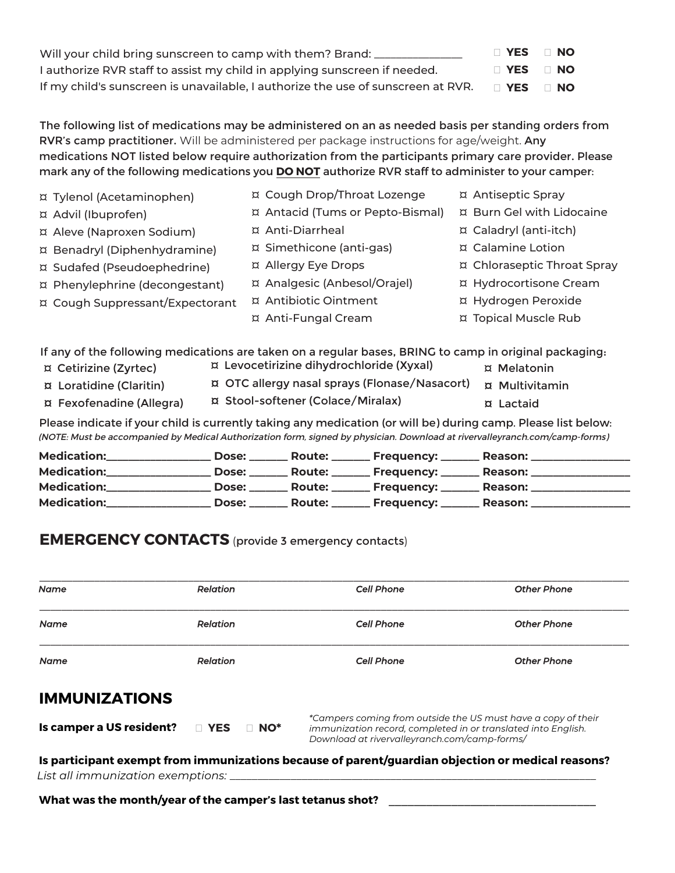| Will your child bring sunscreen to camp with them? Brand: __                     | □ YES                | <b>NO</b> |
|----------------------------------------------------------------------------------|----------------------|-----------|
| I authorize RVR staff to assist my child in applying sunscreen if needed.        | $\Box$ YES $\Box$ NO |           |
| If my child's sunscreen is unavailable, I authorize the use of sunscreen at RVR. | □ YES                | ⊟ NO      |

The following list of medications may be administered on an as needed basis per standing orders from RVR's camp practitioner. Will be administered per package instructions for age/weight. Any medications NOT listed below require authorization from the participants primary care provider. Please mark any of the following medications you **DO NOT** authorize RVR staff to administer to your camper:

| ¤ Tylenol (Acetaminophen)       | ¤ Cough Drop/Throat Lozenge      | ¤ Antiseptic Spray          |
|---------------------------------|----------------------------------|-----------------------------|
| ¤ Advil (Ibuprofen)             | ¤ Antacid (Tums or Pepto-Bismal) | ¤ Burn Gel with Lidocaine   |
| ¤ Aleve (Naproxen Sodium)       | ¤ Anti-Diarrheal                 | ¤ Caladryl (anti-itch)      |
| ¤ Benadryl (Diphenhydramine)    | ¤ Simethicone (anti-gas)         | ¤ Calamine Lotion           |
| ¤ Sudafed (Pseudoephedrine)     | ¤ Allergy Eye Drops              | ¤ Chloraseptic Throat Spray |
| ¤ Phenylephrine (decongestant)  | ¤ Analgesic (Anbesol/Orajel)     | ¤ Hydrocortisone Cream      |
| ¤ Cough Suppressant/Expectorant | ¤ Antibiotic Ointment            | ¤ Hydrogen Peroxide         |
|                                 | ¤ Anti-Fungal Cream              | ¤ Topical Muscle Rub        |
|                                 |                                  |                             |

If any of the following medications are taken on a regular bases, BRING to camp in original packaging:

¤ Levocetirizine dihydrochloride (Xyxal) ¤ Cetirizine (Zyrtec) ¤ Melatonin **¤ OTC allergy nasal sprays (Flonase/Nasacort)** ¤ Loratidine (Claritin) ¤ Multivitamin ¤ Stool-softener (Colace/Miralax) ¤ Fexofenadine (Allegra) **¤ Lactaid** 

Please indicate if your child is currently taking any medication (or will be) during camp. Please list below: (NOTE: Must be accompanied by Medical Authorization form, signed by physician. Download at rivervalleyranch.com/camp-forms)

| <b>Medication:</b> | Dose:        |  | <b>Reason:</b> |
|--------------------|--------------|--|----------------|
| <b>Medication:</b> | <b>Dose:</b> |  | <b>Reason:</b> |
| <b>Medication:</b> | Dose:        |  | <b>Reason:</b> |
| Medication:        | Dose: Dose   |  | <b>Reason:</b> |

### **EMERGENCY CONTACTS** (provide 3 emergency contacts)

| <b>Name</b>              | <b>Relation</b>             | <b>Cell Phone</b>                                                                                                                                                              | <b>Other Phone</b> |
|--------------------------|-----------------------------|--------------------------------------------------------------------------------------------------------------------------------------------------------------------------------|--------------------|
| <b>Name</b>              | Relation                    | <b>Cell Phone</b>                                                                                                                                                              | <b>Other Phone</b> |
| <b>Name</b>              | Relation                    | <b>Cell Phone</b>                                                                                                                                                              | <b>Other Phone</b> |
| <b>IMMUNIZATIONS</b>     |                             |                                                                                                                                                                                |                    |
| Is camper a US resident? | <b>NO YES</b><br>$\Box$ NO* | *Campers coming from outside the US must have a copy of their<br>immunization record, completed in or translated into English.<br>Download at rivervalleyranch.com/camp-forms/ |                    |

List all immunization exemptions:  $\equiv$ 

What was the month/year of the camper's last tetanus shot? \_\_\_\_\_\_\_\_\_\_\_\_\_\_\_\_\_\_\_\_\_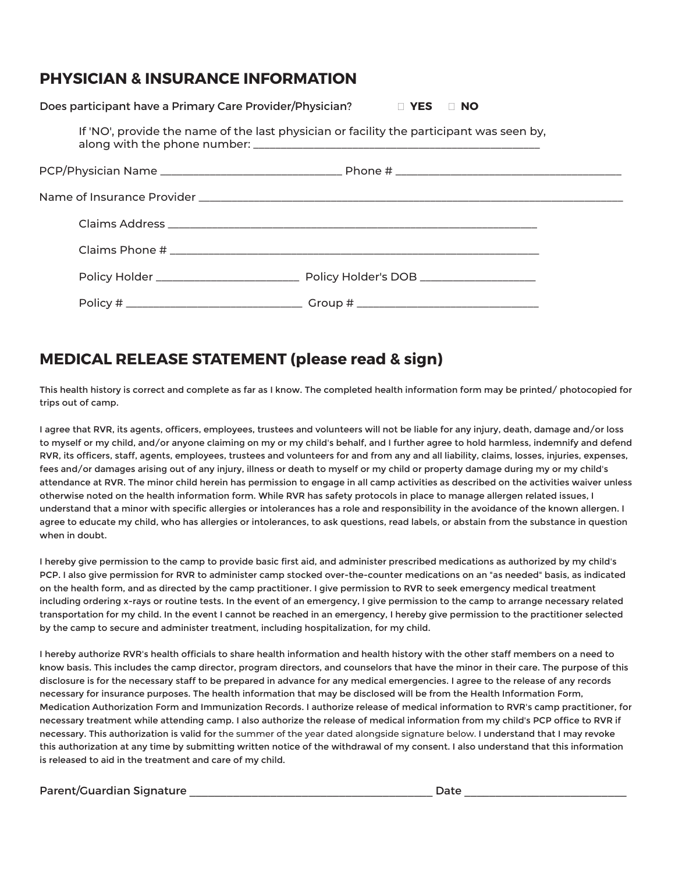## **PHYSICIAN & INSURANCE INFORMATION**

| Does participant have a Primary Care Provider/Physician? □ YES □ NO |                                                                                          |
|---------------------------------------------------------------------|------------------------------------------------------------------------------------------|
|                                                                     | If 'NO', provide the name of the last physician or facility the participant was seen by, |
|                                                                     |                                                                                          |
|                                                                     |                                                                                          |
|                                                                     |                                                                                          |
|                                                                     |                                                                                          |
|                                                                     |                                                                                          |
|                                                                     |                                                                                          |

## **MEDICAL RELEASE STATEMENT (please read & sign)**

This health history is correct and complete as far as I know. The completed health information form may be printed/ photocopied for trips out of camp.

I agree that RVR, its agents, officers, employees, trustees and volunteers will not be liable for any injury, death, damage and/or loss to myself or my child, and/or anyone claiming on my or my child's behalf, and I further agree to hold harmless, indemnify and defend RVR, its officers, staff, agents, employees, trustees and volunteers for and from any and all liability, claims, losses, injuries, expenses, fees and/or damages arising out of any injury, illness or death to myself or my child or property damage during my or my child's attendance at RVR. The minor child herein has permission to engage in all camp activities as described on the activities waiver unless otherwise noted on the health information form. While RVR has safety protocols in place to manage allergen related issues, I understand that a minor with specific allergies or intolerances has a role and responsibility in the avoidance of the known allergen. I agree to educate my child, who has allergies or intolerances, to ask questions, read labels, or abstain from the substance in question when in doubt.

I hereby give permission to the camp to provide basic first aid, and administer prescribed medications as authorized by my child's PCP. I also give permission for RVR to administer camp stocked over-the-counter medications on an "as needed" basis, as indicated on the health form, and as directed by the camp practitioner. I give permission to RVR to seek emergency medical treatment including ordering x-rays or routine tests. In the event of an emergency, I give permission to the camp to arrange necessary related transportation for my child. In the event I cannot be reached in an emergency, I hereby give permission to the practitioner selected by the camp to secure and administer treatment, including hospitalization, for my child.

I hereby authorize RVR's health officials to share health information and health history with the other staff members on a need to know basis. This includes the camp director, program directors, and counselors that have the minor in their care. The purpose of this disclosure is for the necessary staff to be prepared in advance for any medical emergencies. I agree to the release of any records necessary for insurance purposes. The health information that may be disclosed will be from the Health Information Form, Medication Authorization Form and Immunization Records. I authorize release of medical information to RVR's camp practitioner, for necessary treatment while attending camp. I also authorize the release of medical information from my child's PCP office to RVR if necessary. This authorization is valid for the summer of the year dated alongside signature below. I understand that I may revoke this authorization at any time by submitting written notice of the withdrawal of my consent. I also understand that this information is released to aid in the treatment and care of my child.

#### Parent/Guardian Signature \_\_\_\_\_\_\_\_\_\_\_\_\_\_\_\_\_\_\_\_\_\_\_\_\_\_\_\_\_\_\_\_\_\_\_\_\_\_\_ Date \_\_\_\_\_\_\_\_\_\_\_\_\_\_\_\_\_\_\_\_\_\_\_\_\_\_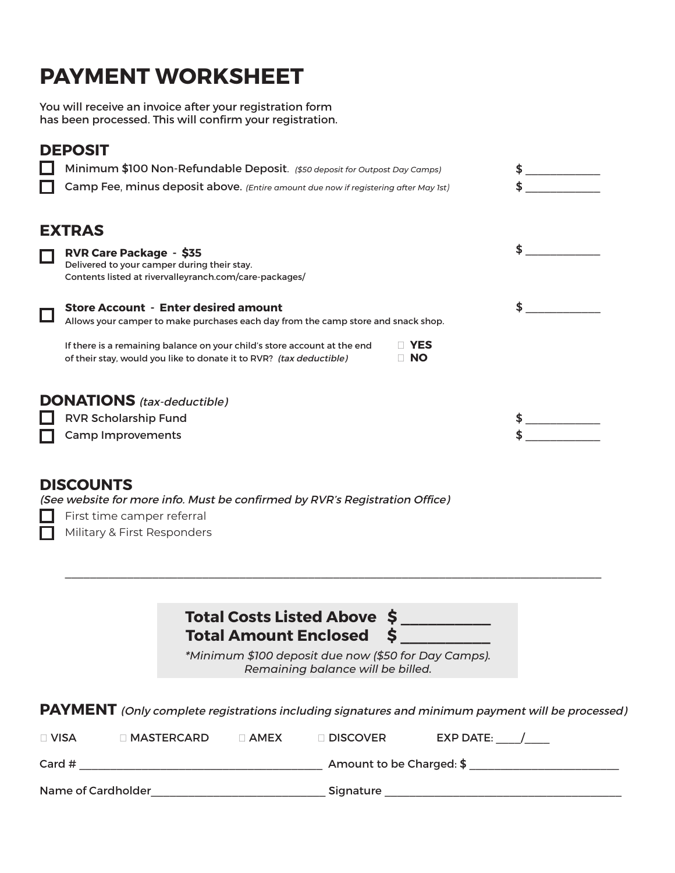# **PAYMENT WORKSHEET**

You will receive an invoice after your registration form has been processed. This will confirm your registration.

## **DEPOSIT**

| Minimum \$100 Non-Refundable Deposit. (\$50 deposit for Outpost Day Camps)                                                                      |                  | \$ |
|-------------------------------------------------------------------------------------------------------------------------------------------------|------------------|----|
| Camp Fee, minus deposit above. (Entire amount due now if registering after May 1st)                                                             |                  |    |
| <b>EXTRAS</b>                                                                                                                                   |                  |    |
| <b>RVR Care Package - \$35</b><br>Delivered to your camper during their stay.<br>Contents listed at rivervalleyranch.com/care-packages/         |                  |    |
| <b>Store Account - Enter desired amount</b><br>Allows your camper to make purchases each day from the camp store and snack shop.                |                  | S  |
| If there is a remaining balance on your child's store account at the end<br>of their stay, would you like to donate it to RVR? (tax deductible) | YES<br>$\Box$ No |    |
| <b>DONATIONS</b> (tax-deductible)                                                                                                               |                  |    |
| <b>RVR Scholarship Fund</b>                                                                                                                     |                  |    |
| <b>Camp Improvements</b>                                                                                                                        |                  |    |
|                                                                                                                                                 |                  |    |

### **DISCOUNTS**

(See website for more info. Must be confirmed by RVR's Registration Office)

First time camper referral ш

Military & First Responders

| Total Costs Listed Above \$ |  |
|-----------------------------|--|
| Total Amount Enclosed \$    |  |

\_\_\_\_\_\_\_\_\_\_\_\_\_\_\_\_\_\_\_\_\_\_\_\_\_\_\_\_\_\_\_\_\_\_\_\_\_\_\_\_\_\_\_\_\_\_\_\_\_\_\_\_\_\_\_\_\_\_\_\_\_\_\_\_\_\_\_\_\_\_\_\_\_\_\_\_\_\_\_\_\_\_\_\_\_\_

*\*Minimum \$100 deposit due now (\$50 for Day Camps). Remaining balance will be billed.*

**PAYMENT** (Only complete registrations including signatures and minimum payment will be processed)

| $\Box$ VISA        | $\lceil$ MASTERCARD. | $\sqcap$ AMEX | $\sqcap$ Discover        | <b>EXP DATE:</b> |
|--------------------|----------------------|---------------|--------------------------|------------------|
| Card $#$           |                      |               | Amount to be Charged: \$ |                  |
| Name of Cardholder |                      |               | Signature                |                  |